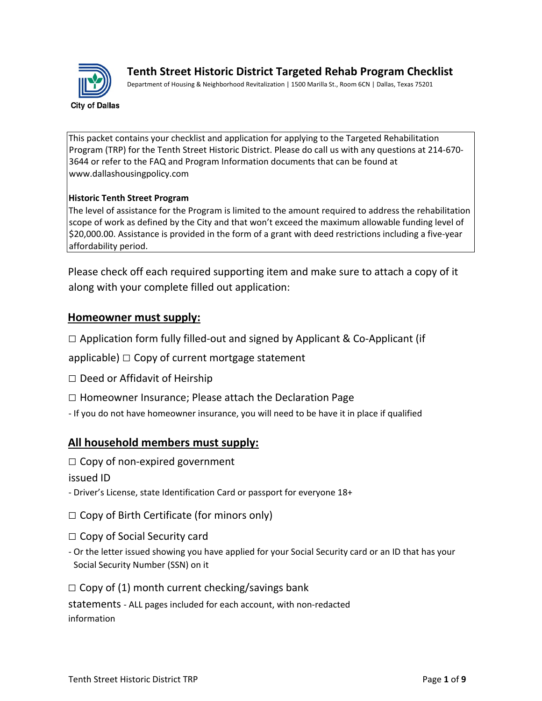

**Tenth Street Historic District Targeted Rehab Program Checklist** 

Department of Housing & Neighborhood Revitalization | 1500 Marilla St., Room 6CN | Dallas, Texas 75201

This packet contains your checklist and application for applying to the Targeted Rehabilitation Program (TRP) for the Tenth Street Historic District. Please do call us with any questions at 214-670- 3644 or refer to the FAQ and Program Information documents that can be found at www.dallashousingpolicy.com

#### **Historic Tenth Street Program**

The level of assistance for the Program is limited to the amount required to address the rehabilitation scope of work as defined by the City and that won't exceed the maximum allowable funding level of \$20,000.00. Assistance is provided in the form of a grant with deed restrictions including a five-year affordability period.

Please check off each required supporting item and make sure to attach a copy of it along with your complete filled out application:

### **Homeowner must supply:**

 $\Box$  Application form fully filled-out and signed by Applicant & Co-Applicant (if

applicable)  $\Box$  Copy of current mortgage statement

- □ Deed or Affidavit of Heirship
- □ Homeowner Insurance; Please attach the Declaration Page
- If you do not have homeowner insurance, you will need to be have it in place if qualified

## **All household members must supply:**

 $\square$  Copy of non-expired government

issued ID

- Driver's License, state Identification Card or passport for everyone 18+

 $\Box$  Copy of Birth Certificate (for minors only)

- $\Box$  Copy of Social Security card
- Or the letter issued showing you have applied for your Social Security card or an ID that has your Social Security Number (SSN) on it
- $\Box$  Copy of (1) month current checking/savings bank

statements - ALL pages included for each account, with non-redacted information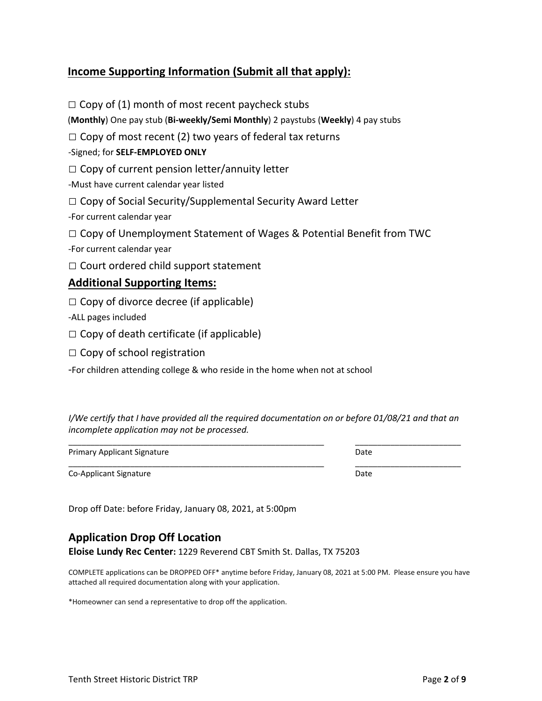## **Income Supporting Information (Submit all that apply):**

 $\Box$  Copy of (1) month of most recent paycheck stubs (**Monthly**) One pay stub (**Bi-weekly/Semi Monthly**) 2 paystubs (**Weekly**) 4 pay stubs  $\Box$  Copy of most recent (2) two years of federal tax returns -Signed; for **SELF-EMPLOYED ONLY**  $\Box$  Copy of current pension letter/annuity letter -Must have current calendar year listed  $\Box$  Copy of Social Security/Supplemental Security Award Letter -For current calendar year  $\Box$  Copy of Unemployment Statement of Wages & Potential Benefit from TWC -For current calendar year  $\Box$  Court ordered child support statement **Additional Supporting Items:**  $\Box$  Copy of divorce decree (if applicable) -ALL pages included

 $\Box$  Copy of death certificate (if applicable)

 $\Box$  Copy of school registration

-For children attending college & who reside in the home when not at school

*I/We certify that I have provided all the required documentation on or before 01/08/21 and that an incomplete application may not be processed.* 

\_\_\_\_\_\_\_\_\_\_\_\_\_\_\_\_\_\_\_\_\_\_\_\_\_\_\_\_\_\_\_\_\_\_\_\_\_\_\_\_\_\_\_\_\_\_\_\_\_\_\_\_\_\_\_\_\_\_ \_\_\_\_\_\_\_\_\_\_\_\_\_\_\_\_\_\_\_\_\_\_\_\_

Primary Applicant Signature **Date** Date Date

Co-Applicant Signature Date Date Date Date Date Date Date

\_\_\_\_\_\_\_\_\_\_\_\_\_\_\_\_\_\_\_\_\_\_\_\_\_\_\_\_\_\_\_\_\_\_\_\_\_\_\_\_\_\_\_\_\_\_\_\_\_\_\_\_\_\_\_\_\_\_ \_\_\_\_\_\_\_\_\_\_\_\_\_\_\_\_\_\_\_\_\_\_\_\_

Drop off Date: before Friday, January 08, 2021, at 5:00pm

## **Application Drop Off Location**

**Eloise Lundy Rec Center:** 1229 Reverend CBT Smith St. Dallas, TX 75203

COMPLETE applications can be DROPPED OFF\* anytime before Friday, January 08, 2021 at 5:00 PM. Please ensure you have attached all required documentation along with your application.

\*Homeowner can send a representative to drop off the application.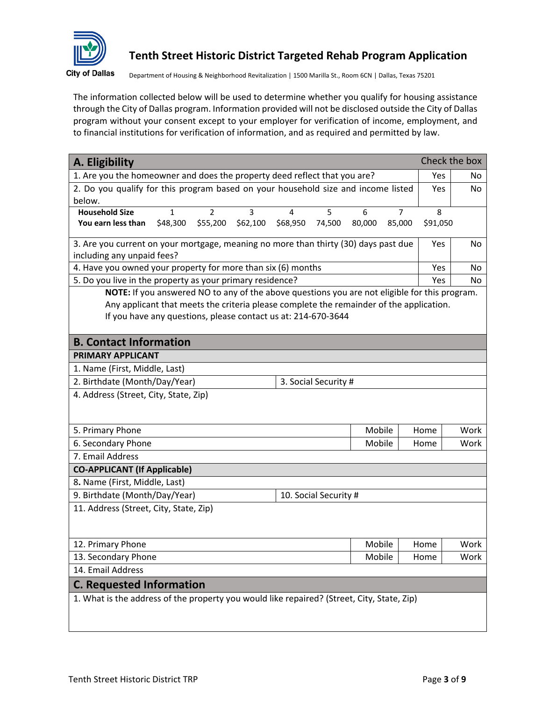

# **Tenth Street Historic District Targeted Rehab Program Application**

Department of Housing & Neighborhood Revitalization | 1500 Marilla St., Room 6CN | Dallas, Texas 75201

The information collected below will be used to determine whether you qualify for housing assistance through the City of Dallas program. Information provided will not be disclosed outside the City of Dallas program without your consent except to your employer for verification of income, employment, and to financial institutions for verification of information, and as required and permitted by law.

| 1. Are you the homeowner and does the property deed reflect that you are?<br>Yes<br>No<br>2. Do you qualify for this program based on your household size and income listed<br>No<br>Yes<br>below.<br><b>Household Size</b><br>$\overline{2}$<br>3<br>5<br>8<br>$\mathbf{1}$<br>4<br>6<br>7 |
|---------------------------------------------------------------------------------------------------------------------------------------------------------------------------------------------------------------------------------------------------------------------------------------------|
|                                                                                                                                                                                                                                                                                             |
|                                                                                                                                                                                                                                                                                             |
|                                                                                                                                                                                                                                                                                             |
|                                                                                                                                                                                                                                                                                             |
| \$48,300<br>\$55,200<br>\$62,100<br>\$68,950<br>74,500<br>80,000<br>85,000<br>\$91,050<br>You earn less than                                                                                                                                                                                |
| 3. Are you current on your mortgage, meaning no more than thirty (30) days past due<br>Yes<br>No                                                                                                                                                                                            |
| including any unpaid fees?                                                                                                                                                                                                                                                                  |
| 4. Have you owned your property for more than six (6) months<br>Yes<br>No                                                                                                                                                                                                                   |
| 5. Do you live in the property as your primary residence?<br>Yes<br>No                                                                                                                                                                                                                      |
| NOTE: If you answered NO to any of the above questions you are not eligible for this program.                                                                                                                                                                                               |
| Any applicant that meets the criteria please complete the remainder of the application.                                                                                                                                                                                                     |
| If you have any questions, please contact us at: 214-670-3644                                                                                                                                                                                                                               |
| <b>B. Contact Information</b>                                                                                                                                                                                                                                                               |
| PRIMARY APPLICANT                                                                                                                                                                                                                                                                           |
| 1. Name (First, Middle, Last)                                                                                                                                                                                                                                                               |
| 2. Birthdate (Month/Day/Year)<br>3. Social Security #                                                                                                                                                                                                                                       |
| 4. Address (Street, City, State, Zip)                                                                                                                                                                                                                                                       |
|                                                                                                                                                                                                                                                                                             |
|                                                                                                                                                                                                                                                                                             |
| Mobile<br>5. Primary Phone<br>Work<br>Home                                                                                                                                                                                                                                                  |
| 6. Secondary Phone<br>Mobile<br>Work<br>Home                                                                                                                                                                                                                                                |
| 7. Email Address                                                                                                                                                                                                                                                                            |
| <b>CO-APPLICANT (If Applicable)</b>                                                                                                                                                                                                                                                         |
| 8. Name (First, Middle, Last)                                                                                                                                                                                                                                                               |
| 9. Birthdate (Month/Day/Year)<br>10. Social Security #                                                                                                                                                                                                                                      |
| 11. Address (Street, City, State, Zip)                                                                                                                                                                                                                                                      |
|                                                                                                                                                                                                                                                                                             |
|                                                                                                                                                                                                                                                                                             |
| Mobile<br>12. Primary Phone<br>Work<br>Home                                                                                                                                                                                                                                                 |
| 13. Secondary Phone<br>Mobile<br>Work<br>Home                                                                                                                                                                                                                                               |
| 14. Email Address                                                                                                                                                                                                                                                                           |
| <b>C. Requested Information</b>                                                                                                                                                                                                                                                             |
| 1. What is the address of the property you would like repaired? (Street, City, State, Zip)                                                                                                                                                                                                  |
|                                                                                                                                                                                                                                                                                             |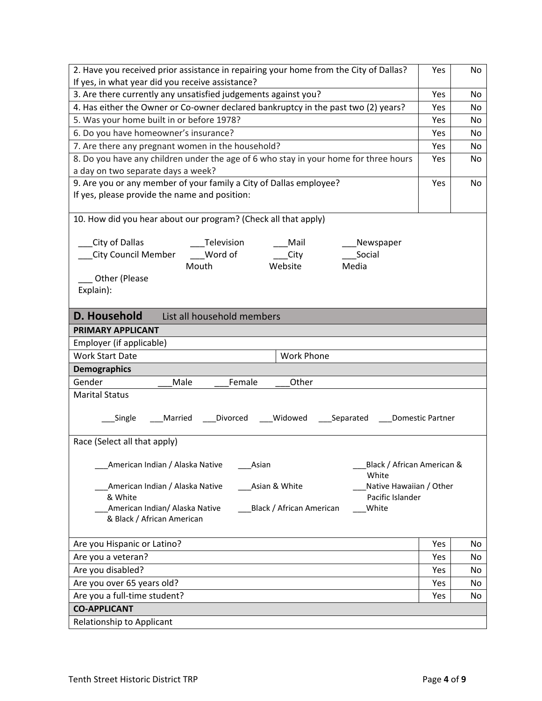| 2. Have you received prior assistance in repairing your home from the City of Dallas?                                      | Yes        | No  |  |  |  |
|----------------------------------------------------------------------------------------------------------------------------|------------|-----|--|--|--|
| If yes, in what year did you receive assistance?                                                                           |            |     |  |  |  |
| 3. Are there currently any unsatisfied judgements against you?                                                             | Yes        | No  |  |  |  |
| 4. Has either the Owner or Co-owner declared bankruptcy in the past two (2) years?                                         | Yes        | No. |  |  |  |
| 5. Was your home built in or before 1978?                                                                                  | Yes        | No  |  |  |  |
| 6. Do you have homeowner's insurance?                                                                                      | Yes        | No  |  |  |  |
| 7. Are there any pregnant women in the household?                                                                          | Yes        | No  |  |  |  |
| 8. Do you have any children under the age of 6 who stay in your home for three hours<br>a day on two separate days a week? | <b>Yes</b> | No  |  |  |  |
| 9. Are you or any member of your family a City of Dallas employee?                                                         | Yes        | No  |  |  |  |
| If yes, please provide the name and position:                                                                              |            |     |  |  |  |
|                                                                                                                            |            |     |  |  |  |
| 10. How did you hear about our program? (Check all that apply)                                                             |            |     |  |  |  |
|                                                                                                                            |            |     |  |  |  |
| City of Dallas<br>Television<br>Mail<br>Newspaper                                                                          |            |     |  |  |  |
| <b>City Council Member</b><br>Word of<br>City<br>Social                                                                    |            |     |  |  |  |
| Website<br>Media<br>Mouth                                                                                                  |            |     |  |  |  |
| Other (Please                                                                                                              |            |     |  |  |  |
| Explain):                                                                                                                  |            |     |  |  |  |
|                                                                                                                            |            |     |  |  |  |
| D. Household<br>List all household members                                                                                 |            |     |  |  |  |
| PRIMARY APPLICANT                                                                                                          |            |     |  |  |  |
| Employer (if applicable)                                                                                                   |            |     |  |  |  |
| <b>Work Start Date</b><br>Work Phone                                                                                       |            |     |  |  |  |
| <b>Demographics</b>                                                                                                        |            |     |  |  |  |
| Gender<br>Female<br>Male<br>Other                                                                                          |            |     |  |  |  |
| <b>Marital Status</b>                                                                                                      |            |     |  |  |  |
|                                                                                                                            |            |     |  |  |  |
| Married<br>___Divorced<br>___Widowed<br>_Separated<br><b>Domestic Partner</b><br>Single                                    |            |     |  |  |  |
| Race (Select all that apply)                                                                                               |            |     |  |  |  |
|                                                                                                                            |            |     |  |  |  |
| American Indian / Alaska Native<br>Black / African American &<br>Asian                                                     |            |     |  |  |  |
| White                                                                                                                      |            |     |  |  |  |
| American Indian / Alaska Native<br>Asian & White<br>Native Hawaiian / Other                                                |            |     |  |  |  |
| & White<br>Pacific Islander                                                                                                |            |     |  |  |  |
| American Indian/ Alaska Native<br>Black / African American<br>White                                                        |            |     |  |  |  |
| & Black / African American                                                                                                 |            |     |  |  |  |
| Are you Hispanic or Latino?                                                                                                | Yes        | No  |  |  |  |
| Are you a veteran?                                                                                                         | Yes        | No  |  |  |  |
| Are you disabled?                                                                                                          | Yes        | No  |  |  |  |
| Are you over 65 years old?                                                                                                 | Yes        | No  |  |  |  |
| Are you a full-time student?                                                                                               | Yes        | No  |  |  |  |
| <b>CO-APPLICANT</b>                                                                                                        |            |     |  |  |  |
| Relationship to Applicant                                                                                                  |            |     |  |  |  |
|                                                                                                                            |            |     |  |  |  |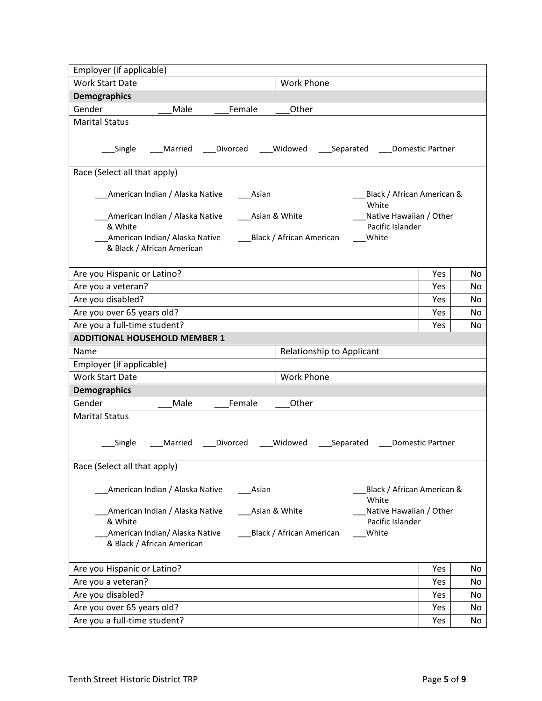| Employer (if applicable)                                                             |                  |          |  |  |
|--------------------------------------------------------------------------------------|------------------|----------|--|--|
| <b>Work Phone</b><br><b>Work Start Date</b>                                          |                  |          |  |  |
| <b>Demographics</b>                                                                  |                  |          |  |  |
| Gender<br>Male<br>Female<br>Other                                                    |                  |          |  |  |
| <b>Marital Status</b>                                                                |                  |          |  |  |
|                                                                                      |                  |          |  |  |
| Widowed<br>_Single<br>Married<br>Divorced<br>____ Separated _____ Domestic Partner   |                  |          |  |  |
| Race (Select all that apply)                                                         |                  |          |  |  |
| American Indian / Alaska Native<br>Black / African American &<br>Asian               |                  |          |  |  |
| White<br>American Indian / Alaska Native<br>Native Hawaiian / Other<br>Asian & White |                  |          |  |  |
| & White<br>Pacific Islander                                                          |                  |          |  |  |
| American Indian/ Alaska Native<br>White<br>___Black / African American               |                  |          |  |  |
| & Black / African American                                                           |                  |          |  |  |
|                                                                                      |                  |          |  |  |
| Are you Hispanic or Latino?                                                          | Yes              | No       |  |  |
| Are you a veteran?                                                                   | Yes              | No       |  |  |
| Are you disabled?                                                                    | Yes              | No       |  |  |
| Are you over 65 years old?                                                           | Yes              | No.      |  |  |
| Are you a full-time student?                                                         | Yes              | No       |  |  |
| <b>ADDITIONAL HOUSEHOLD MEMBER 1</b>                                                 |                  |          |  |  |
| Name<br>Relationship to Applicant                                                    |                  |          |  |  |
| Employer (if applicable)                                                             |                  |          |  |  |
| <b>Work Start Date</b><br><b>Work Phone</b>                                          |                  |          |  |  |
| <b>Demographics</b>                                                                  |                  |          |  |  |
| Female<br>Gender<br>Male<br>Other                                                    |                  |          |  |  |
| <b>Marital Status</b>                                                                |                  |          |  |  |
|                                                                                      |                  |          |  |  |
| Divorced<br>Widowed<br>_Separated ____<br>Single<br>Married                          | Domestic Partner |          |  |  |
|                                                                                      |                  |          |  |  |
| Race (Select all that apply)                                                         |                  |          |  |  |
| American Indian / Alaska Native<br>Asian<br>Black / African American &               |                  |          |  |  |
| White                                                                                |                  |          |  |  |
| American Indian / Alaska Native<br>Asian & White<br>Native Hawaiian / Other          |                  |          |  |  |
| & White<br>Pacific Islander                                                          |                  |          |  |  |
| American Indian/ Alaska Native<br>Black / African American<br>White                  |                  |          |  |  |
| & Black / African American                                                           |                  |          |  |  |
| Are you Hispanic or Latino?                                                          | Yes              | No       |  |  |
|                                                                                      |                  |          |  |  |
| Are you a veteran?                                                                   | Yes              | No       |  |  |
| Are you disabled?<br>Are you over 65 years old?                                      | Yes<br>Yes       | No<br>No |  |  |
| Are you a full-time student?                                                         | Yes              | No       |  |  |
|                                                                                      |                  |          |  |  |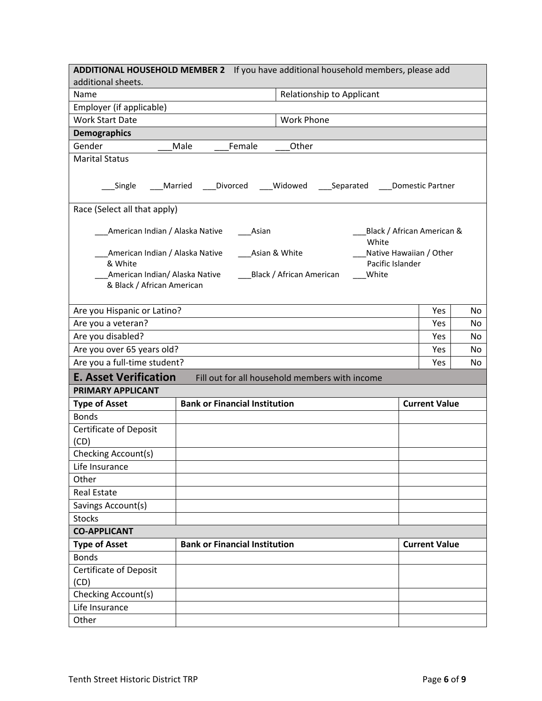|                                                                                                                                                                                                                                                                                                    | ADDITIONAL HOUSEHOLD MEMBER 2 If you have additional household members, please add |  |                         |    |
|----------------------------------------------------------------------------------------------------------------------------------------------------------------------------------------------------------------------------------------------------------------------------------------------------|------------------------------------------------------------------------------------|--|-------------------------|----|
| additional sheets.                                                                                                                                                                                                                                                                                 |                                                                                    |  |                         |    |
| Name                                                                                                                                                                                                                                                                                               | Relationship to Applicant                                                          |  |                         |    |
| Employer (if applicable)                                                                                                                                                                                                                                                                           |                                                                                    |  |                         |    |
| <b>Work Start Date</b>                                                                                                                                                                                                                                                                             | <b>Work Phone</b>                                                                  |  |                         |    |
| <b>Demographics</b>                                                                                                                                                                                                                                                                                |                                                                                    |  |                         |    |
| Gender                                                                                                                                                                                                                                                                                             | Male<br>Female<br>Other                                                            |  |                         |    |
| <b>Marital Status</b>                                                                                                                                                                                                                                                                              |                                                                                    |  |                         |    |
| Single                                                                                                                                                                                                                                                                                             | Married<br>Divorced<br>Widowed<br>Separated                                        |  | <b>Domestic Partner</b> |    |
| Race (Select all that apply)                                                                                                                                                                                                                                                                       |                                                                                    |  |                         |    |
| American Indian / Alaska Native<br>Black / African American &<br>Asian<br>White<br>Native Hawaiian / Other<br>American Indian / Alaska Native<br>Asian & White<br>Pacific Islander<br>& White<br>American Indian/ Alaska Native<br>Black / African American<br>White<br>& Black / African American |                                                                                    |  |                         |    |
| Are you Hispanic or Latino?                                                                                                                                                                                                                                                                        |                                                                                    |  | Yes                     | No |
| Are you a veteran?                                                                                                                                                                                                                                                                                 |                                                                                    |  |                         | No |
| Are you disabled?                                                                                                                                                                                                                                                                                  |                                                                                    |  |                         | No |
| Are you over 65 years old?                                                                                                                                                                                                                                                                         |                                                                                    |  | Yes                     | No |
| Are you a full-time student?                                                                                                                                                                                                                                                                       |                                                                                    |  | Yes                     | No |
| <b>E. Asset Verification</b>                                                                                                                                                                                                                                                                       | Fill out for all household members with income                                     |  |                         |    |
| PRIMARY APPLICANT                                                                                                                                                                                                                                                                                  |                                                                                    |  |                         |    |
| <b>Type of Asset</b>                                                                                                                                                                                                                                                                               | <b>Bank or Financial Institution</b>                                               |  | <b>Current Value</b>    |    |
| <b>Bonds</b>                                                                                                                                                                                                                                                                                       |                                                                                    |  |                         |    |
| <b>Certificate of Deposit</b>                                                                                                                                                                                                                                                                      |                                                                                    |  |                         |    |
| (CD)                                                                                                                                                                                                                                                                                               |                                                                                    |  |                         |    |
| Checking Account(s)                                                                                                                                                                                                                                                                                |                                                                                    |  |                         |    |
| Life Insurance                                                                                                                                                                                                                                                                                     |                                                                                    |  |                         |    |
| Other                                                                                                                                                                                                                                                                                              |                                                                                    |  |                         |    |
| <b>Real Estate</b>                                                                                                                                                                                                                                                                                 |                                                                                    |  |                         |    |
| Savings Account(s)                                                                                                                                                                                                                                                                                 |                                                                                    |  |                         |    |
| <b>Stocks</b>                                                                                                                                                                                                                                                                                      |                                                                                    |  |                         |    |
| <b>CO-APPLICANT</b>                                                                                                                                                                                                                                                                                |                                                                                    |  |                         |    |
| <b>Type of Asset</b>                                                                                                                                                                                                                                                                               | <b>Bank or Financial Institution</b>                                               |  | <b>Current Value</b>    |    |
| <b>Bonds</b>                                                                                                                                                                                                                                                                                       |                                                                                    |  |                         |    |
| <b>Certificate of Deposit</b><br>(CD)                                                                                                                                                                                                                                                              |                                                                                    |  |                         |    |
| Checking Account(s)                                                                                                                                                                                                                                                                                |                                                                                    |  |                         |    |
| Life Insurance                                                                                                                                                                                                                                                                                     |                                                                                    |  |                         |    |
| Other                                                                                                                                                                                                                                                                                              |                                                                                    |  |                         |    |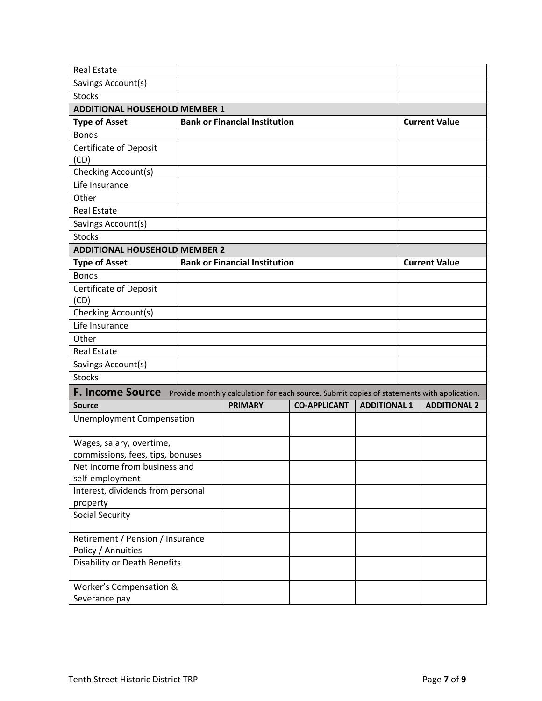| <b>Real Estate</b>                                               |                                      |                                                                                            |                     |                      |
|------------------------------------------------------------------|--------------------------------------|--------------------------------------------------------------------------------------------|---------------------|----------------------|
| Savings Account(s)                                               |                                      |                                                                                            |                     |                      |
| <b>Stocks</b>                                                    |                                      |                                                                                            |                     |                      |
| <b>ADDITIONAL HOUSEHOLD MEMBER 1</b>                             |                                      |                                                                                            |                     |                      |
| <b>Type of Asset</b>                                             | <b>Bank or Financial Institution</b> |                                                                                            |                     | <b>Current Value</b> |
| <b>Bonds</b>                                                     |                                      |                                                                                            |                     |                      |
| <b>Certificate of Deposit</b>                                    |                                      |                                                                                            |                     |                      |
| (CD)                                                             |                                      |                                                                                            |                     |                      |
| Checking Account(s)                                              |                                      |                                                                                            |                     |                      |
| Life Insurance                                                   |                                      |                                                                                            |                     |                      |
| Other                                                            |                                      |                                                                                            |                     |                      |
| <b>Real Estate</b>                                               |                                      |                                                                                            |                     |                      |
| Savings Account(s)                                               |                                      |                                                                                            |                     |                      |
| <b>Stocks</b>                                                    |                                      |                                                                                            |                     |                      |
| <b>ADDITIONAL HOUSEHOLD MEMBER 2</b>                             |                                      |                                                                                            |                     |                      |
| <b>Type of Asset</b>                                             | <b>Bank or Financial Institution</b> |                                                                                            |                     | <b>Current Value</b> |
| <b>Bonds</b>                                                     |                                      |                                                                                            |                     |                      |
| <b>Certificate of Deposit</b>                                    |                                      |                                                                                            |                     |                      |
| (CD)                                                             |                                      |                                                                                            |                     |                      |
| Checking Account(s)                                              |                                      |                                                                                            |                     |                      |
| Life Insurance                                                   |                                      |                                                                                            |                     |                      |
| Other                                                            |                                      |                                                                                            |                     |                      |
| <b>Real Estate</b>                                               |                                      |                                                                                            |                     |                      |
| Savings Account(s)                                               |                                      |                                                                                            |                     |                      |
| <b>Stocks</b>                                                    |                                      |                                                                                            |                     |                      |
| <b>F. Income Source</b>                                          |                                      | Provide monthly calculation for each source. Submit copies of statements with application. |                     |                      |
| <b>Source</b>                                                    | <b>PRIMARY</b>                       | <b>CO-APPLICANT</b>                                                                        | <b>ADDITIONAL 1</b> | <b>ADDITIONAL 2</b>  |
| <b>Unemployment Compensation</b>                                 |                                      |                                                                                            |                     |                      |
|                                                                  |                                      |                                                                                            |                     |                      |
| Wages, salary, overtime,                                         |                                      |                                                                                            |                     |                      |
| commissions, fees, tips, bonuses<br>Net Income from business and |                                      |                                                                                            |                     |                      |
| self-employment                                                  |                                      |                                                                                            |                     |                      |
| Interest, dividends from personal                                |                                      |                                                                                            |                     |                      |
| property                                                         |                                      |                                                                                            |                     |                      |
| <b>Social Security</b>                                           |                                      |                                                                                            |                     |                      |
|                                                                  |                                      |                                                                                            |                     |                      |
| Retirement / Pension / Insurance                                 |                                      |                                                                                            |                     |                      |
| Policy / Annuities                                               |                                      |                                                                                            |                     |                      |
| <b>Disability or Death Benefits</b>                              |                                      |                                                                                            |                     |                      |
| Worker's Compensation &                                          |                                      |                                                                                            |                     |                      |
| Severance pay                                                    |                                      |                                                                                            |                     |                      |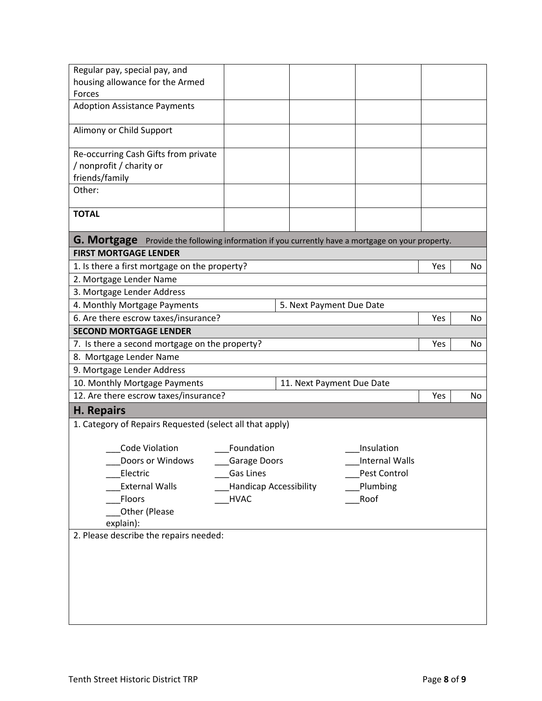| Regular pay, special pay, and                                                                                                           |            |  |                          |     |     |
|-----------------------------------------------------------------------------------------------------------------------------------------|------------|--|--------------------------|-----|-----|
| housing allowance for the Armed<br><b>Forces</b>                                                                                        |            |  |                          |     |     |
| <b>Adoption Assistance Payments</b>                                                                                                     |            |  |                          |     |     |
|                                                                                                                                         |            |  |                          |     |     |
| Alimony or Child Support                                                                                                                |            |  |                          |     |     |
|                                                                                                                                         |            |  |                          |     |     |
| Re-occurring Cash Gifts from private                                                                                                    |            |  |                          |     |     |
| / nonprofit / charity or                                                                                                                |            |  |                          |     |     |
| friends/family                                                                                                                          |            |  |                          |     |     |
| Other:                                                                                                                                  |            |  |                          |     |     |
|                                                                                                                                         |            |  |                          |     |     |
| <b>TOTAL</b>                                                                                                                            |            |  |                          |     |     |
|                                                                                                                                         |            |  |                          |     |     |
| <b>G. Mortgage</b> Provide the following information if you currently have a mortgage on your property.<br><b>FIRST MORTGAGE LENDER</b> |            |  |                          |     |     |
| 1. Is there a first mortgage on the property?                                                                                           |            |  |                          | Yes | No. |
| 2. Mortgage Lender Name                                                                                                                 |            |  |                          |     |     |
| 3. Mortgage Lender Address                                                                                                              |            |  |                          |     |     |
| 4. Monthly Mortgage Payments                                                                                                            |            |  | 5. Next Payment Due Date |     |     |
| 6. Are there escrow taxes/insurance?                                                                                                    |            |  |                          | Yes | No. |
| <b>SECOND MORTGAGE LENDER</b>                                                                                                           |            |  |                          |     |     |
|                                                                                                                                         |            |  |                          | Yes | No  |
| 7. Is there a second mortgage on the property?                                                                                          |            |  |                          |     |     |
| 8. Mortgage Lender Name                                                                                                                 |            |  |                          |     |     |
| 9. Mortgage Lender Address                                                                                                              |            |  |                          |     |     |
| 10. Monthly Mortgage Payments<br>11. Next Payment Due Date                                                                              |            |  |                          |     |     |
| 12. Are there escrow taxes/insurance?                                                                                                   |            |  |                          | Yes | No  |
| <b>H. Repairs</b>                                                                                                                       |            |  |                          |     |     |
| 1. Category of Repairs Requested (select all that apply)                                                                                |            |  |                          |     |     |
| Code Violation                                                                                                                          | Foundation |  | Insulation               |     |     |
|                                                                                                                                         |            |  |                          |     |     |
| Doors or Windows _____Garage Doors<br>Internal Walls                                                                                    |            |  |                          |     |     |
| Electric<br>Gas Lines<br>Pest Control                                                                                                   |            |  |                          |     |     |
| <b>Handicap Accessibility</b><br><b>External Walls</b><br>Plumbing<br>Roof<br>Floors<br><b>HVAC</b>                                     |            |  |                          |     |     |
| Other (Please                                                                                                                           |            |  |                          |     |     |
| explain):                                                                                                                               |            |  |                          |     |     |
| 2. Please describe the repairs needed:                                                                                                  |            |  |                          |     |     |
|                                                                                                                                         |            |  |                          |     |     |
|                                                                                                                                         |            |  |                          |     |     |
|                                                                                                                                         |            |  |                          |     |     |
|                                                                                                                                         |            |  |                          |     |     |
|                                                                                                                                         |            |  |                          |     |     |
|                                                                                                                                         |            |  |                          |     |     |
|                                                                                                                                         |            |  |                          |     |     |